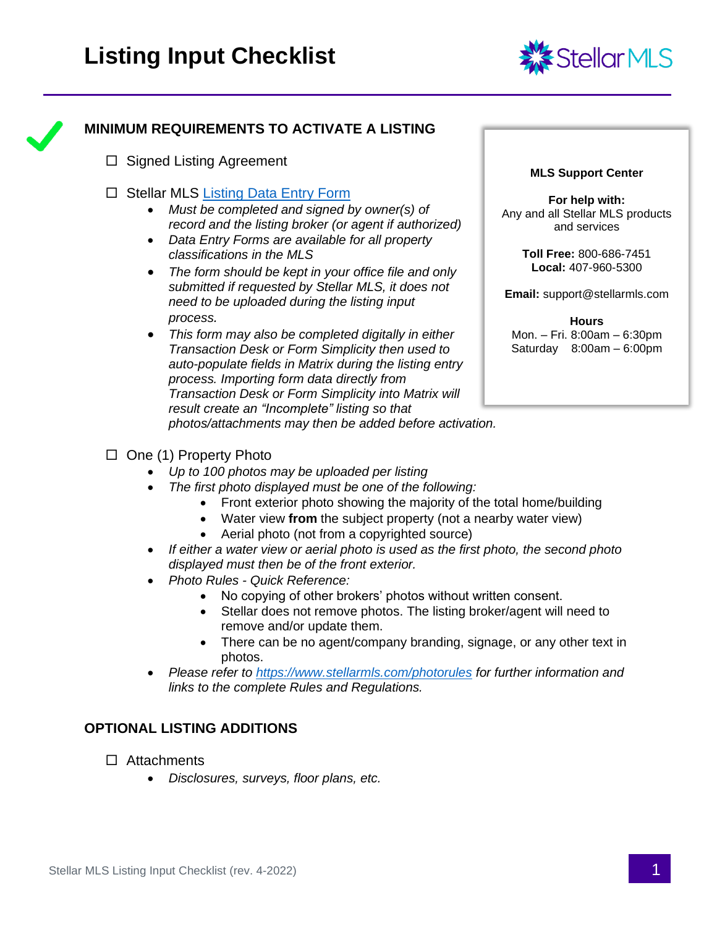



# **MINIMUM REQUIREMENTS TO ACTIVATE A LISTING**

- $\Box$  Signed Listing Agreement
- $\Box$  Stellar MLS [Listing Data Entry Form](https://www.stellarmls.com/documents/listing-forms)
	- *Must be completed and signed by owner(s) of record and the listing broker (or agent if authorized)*
	- *Data Entry Forms are available for all property classifications in the MLS*
	- *The form should be kept in your office file and only submitted if requested by Stellar MLS, it does not need to be uploaded during the listing input process.*
	- *This form may also be completed digitally in either Transaction Desk or Form Simplicity then used to auto-populate fields in Matrix during the listing entry process. Importing form data directly from Transaction Desk or Form Simplicity into Matrix will result create an "Incomplete" listing so that photos/attachments may then be added before activation.*

#### **MLS Support Center**

**For help with:** Any and all Stellar MLS products and services

> **Toll Free:** 800-686-7451 **Local:** 407-960-5300

**Email:** support@stellarmls.com

**Hours** Mon. – Fri. 8:00am – 6:30pm Saturday 8:00am – 6:00pm

- $\Box$  One (1) Property Photo
	- *Up to 100 photos may be uploaded per listing*
	- *The first photo displayed must be one of the following:*
		- Front exterior photo showing the majority of the total home/building
		- Water view **from** the subject property (not a nearby water view)
		- Aerial photo (not from a copyrighted source)
	- *If either a water view or aerial photo is used as the first photo, the second photo displayed must then be of the front exterior.*
	- *Photo Rules - Quick Reference:*
		- No copying of other brokers' photos without written consent.
		- Stellar does not remove photos. The listing broker/agent will need to remove and/or update them.
		- There can be no agent/company branding, signage, or any other text in photos.
	- *Please refer to<https://www.stellarmls.com/photorules> for further information and links to the complete Rules and Regulations.*

#### **OPTIONAL LISTING ADDITIONS**

- □ Attachments
	- *Disclosures, surveys, floor plans, etc.*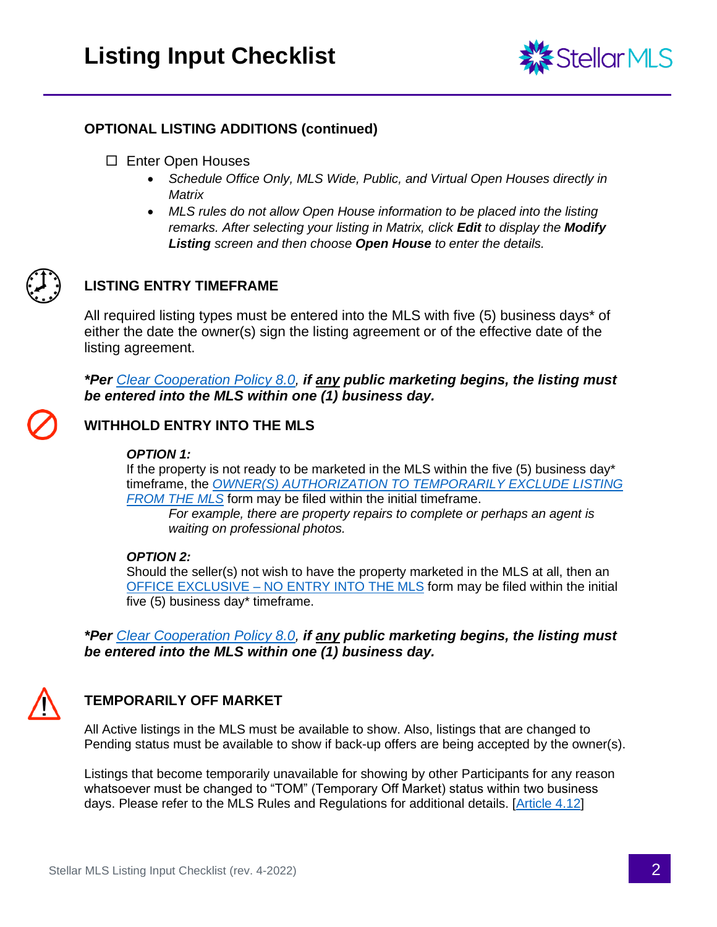

### **OPTIONAL LISTING ADDITIONS (continued)**

- □ Enter Open Houses
	- *Schedule Office Only, MLS Wide, Public, and Virtual Open Houses directly in Matrix*
	- MLS rules do not allow Open House information to be placed into the listing *remarks. After selecting your listing in Matrix, click Edit to display the Modify Listing screen and then choose Open House to enter the details.*



## **LISTING ENTRY TIMEFRAME**

All required listing types must be entered into the MLS with five (5) business days\* of either the date the owner(s) sign the listing agreement or of the effective date of the listing agreement.

*\*Per [Clear Cooperation Policy 8.0,](https://www.stellarmls.com/clearcooperation) if any public marketing begins, the listing must be entered into the MLS within one (1) business day.*

## **WITHHOLD ENTRY INTO THE MLS**

#### *OPTION 1:*

If the property is not ready to be marketed in the MLS within the five (5) business day\* timeframe, the *[OWNER\(S\) AUTHORIZATION TO TEMPORARILY EXCLUDE LISTING](https://www.stellarmls.com/documents/listing-forms)  [FROM THE MLS](https://www.stellarmls.com/documents/listing-forms)* form may be filed within the initial timeframe.

*For example, there are property repairs to complete or perhaps an agent is waiting on professional photos.*

#### *OPTION 2:*

Should the seller(s) not wish to have the property marketed in the MLS at all, then an OFFICE EXCLUSIVE – [NO ENTRY INTO THE MLS](https://www.stellarmls.com/documents/listing-forms) form may be filed within the initial five (5) business day\* timeframe.

*\*Per [Clear Cooperation Policy 8.0,](https://www.stellarmls.com/clearcooperation) if any public marketing begins, the listing must be entered into the MLS within one (1) business day.*



# **TEMPORARILY OFF MARKET**

All Active listings in the MLS must be available to show. Also, listings that are changed to Pending status must be available to show if back-up offers are being accepted by the owner(s).

Listings that become temporarily unavailable for showing by other Participants for any reason whatsoever must be changed to "TOM" (Temporary Off Market) status within two business days. Please refer to the MLS Rules and Regulations for additional details. [\[Article 4.12\]](https://inter.stellarmls.com/display/SRR/Article+4.12%3A+Listings+Not+Available+For+Showing)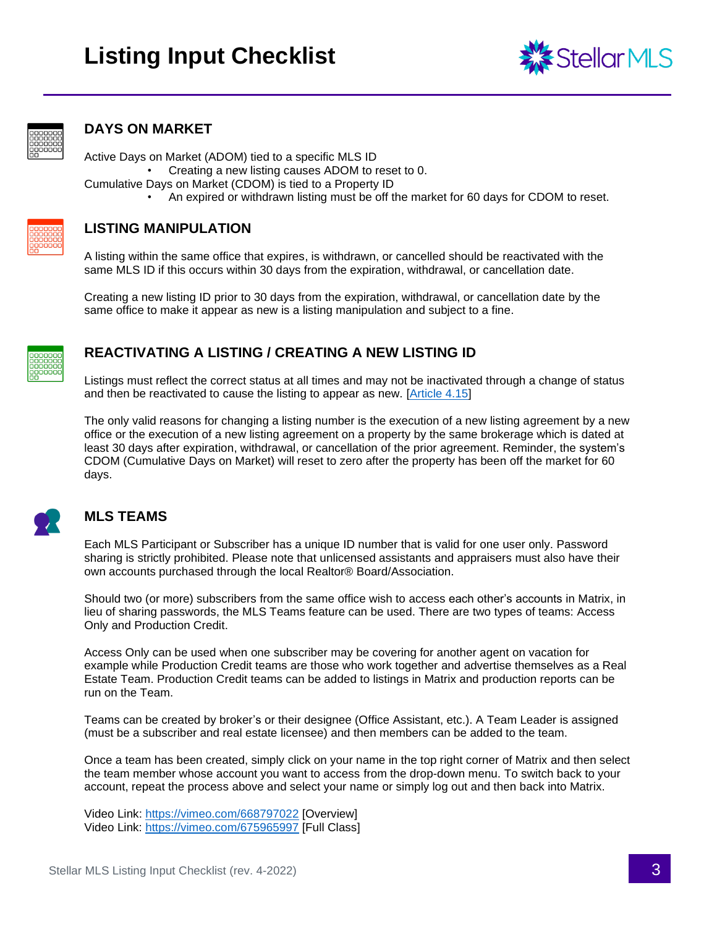



#### **DAYS ON MARKET**

Active Days on Market (ADOM) tied to a specific MLS ID

• Creating a new listing causes ADOM to reset to 0.

- Cumulative Days on Market (CDOM) is tied to a Property ID
	- An expired or withdrawn listing must be off the market for 60 days for CDOM to reset.



#### **LISTING MANIPULATION**

A listing within the same office that expires, is withdrawn, or cancelled should be reactivated with the same MLS ID if this occurs within 30 days from the expiration, withdrawal, or cancellation date.

Creating a new listing ID prior to 30 days from the expiration, withdrawal, or cancellation date by the same office to make it appear as new is a listing manipulation and subject to a fine.



## **REACTIVATING A LISTING / CREATING A NEW LISTING ID**

Listings must reflect the correct status at all times and may not be inactivated through a change of status and then be reactivated to cause the listing to appear as new. [\[Article 4.15\]](https://inter.stellarmls.com/display/SRR/Article+4.15:+Listing+Manipulation)

The only valid reasons for changing a listing number is the execution of a new listing agreement by a new office or the execution of a new listing agreement on a property by the same brokerage which is dated at least 30 days after expiration, withdrawal, or cancellation of the prior agreement. Reminder, the system's CDOM (Cumulative Days on Market) will reset to zero after the property has been off the market for 60 days.



### **MLS TEAMS**

Each MLS Participant or Subscriber has a unique ID number that is valid for one user only. Password sharing is strictly prohibited. Please note that unlicensed assistants and appraisers must also have their own accounts purchased through the local Realtor® Board/Association.

Should two (or more) subscribers from the same office wish to access each other's accounts in Matrix, in lieu of sharing passwords, the MLS Teams feature can be used. There are two types of teams: Access Only and Production Credit.

Access Only can be used when one subscriber may be covering for another agent on vacation for example while Production Credit teams are those who work together and advertise themselves as a Real Estate Team. Production Credit teams can be added to listings in Matrix and production reports can be run on the Team.

Teams can be created by broker's or their designee (Office Assistant, etc.). A Team Leader is assigned (must be a subscriber and real estate licensee) and then members can be added to the team.

Once a team has been created, simply click on your name in the top right corner of Matrix and then select the team member whose account you want to access from the drop-down menu. To switch back to your account, repeat the process above and select your name or simply log out and then back into Matrix.

Video Link:<https://vimeo.com/668797022> [Overview] Video Link:<https://vimeo.com/675965997> [Full Class]